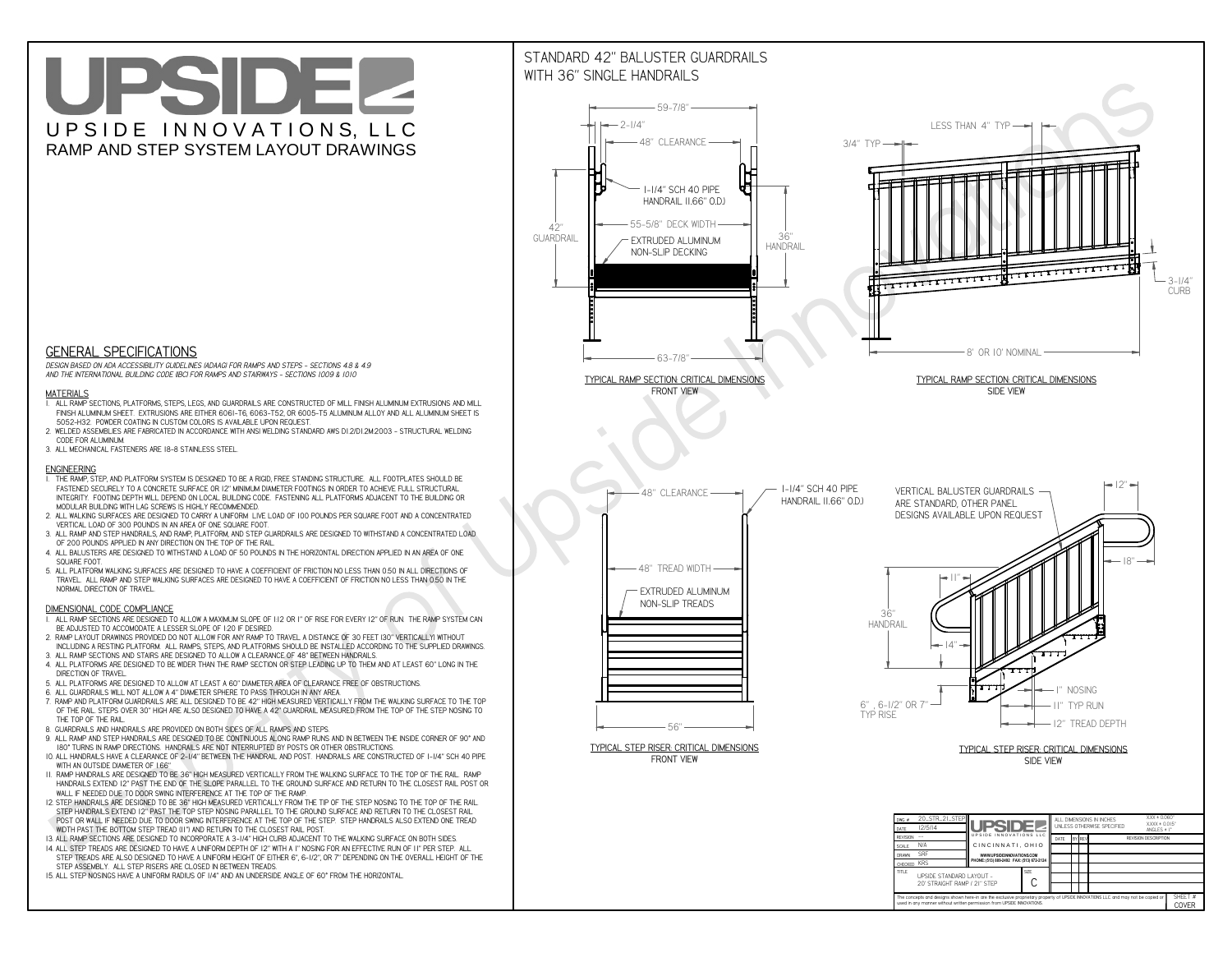# UPSIDEL UPSIDE INNOVATIONS, LLC RAMP AND STEP SYSTEM LAYOUT DRAWINGS



 *DESIGN BASED ON ADA ACCESSIBILITY GUIDELINES (ADAAG) FOR RAMPS AND STEPS - SECTIONS 4.8 & 4.9AND THE INTERNATIONAL BUILDING CODE (IBC) FOR RAMPS AND STAIRWAYS - SECTIONS 1009 & 1010*

#### **MATERIALS**

- **1. ALL RAMP SECTIONS, PLATFORMS, STEPS, LEGS, AND GUARDRAILS ARE CONSTRUCTED OF MILL FINISH ALUMINUM EXTRUSIONS AND MILL FINISH ALUMINUM SHEET. EXTRUSIONS ARE EITHER 6061-T6, 6063-T52, OR 6005-T5 ALUMINUM ALLOY AND ALL ALUMINUM SHEET IS 5052-H32. POWDER COATING IN CUSTOM COLORS IS AVAILABLE UPON REQUEST.**
- **2. WELDED ASSEMBLIES ARE FABRICATED IN ACCORDANCE WITH ANSI WELDING STANDARD AWS D1.2/D1.2M:2003 STRUCTURAL WELDING CODE FOR ALUMINUM.**
- **3. ALL MECHANICAL FASTENERS ARE 18-8 STAINLESS STEEL.**

#### **ENGINEERING**

- **1. THE RAMP, STEP, AND PLATFORM SYSTEM IS DESIGNED TO BE A RIGID, FREE STANDING STRUCTURE. ALL FOOTPLATES SHOULD BE FASTENED SECURELY TO A CONCRETE SURFACE OR 12" MINIMUM DIAMETER FOOTINGS IN ORDER TO ACHIEVE FULL STRUCTURAL INTEGRITY. FOOTING DEPTH WILL DEPEND ON LOCAL BUILDING CODE. FASTENING ALL PLATFORMS ADJACENT TO THE BUILDING OR MODULAR BUILDING WITH LAG SCREWS IS HIGHLY RECOMMENDED.**
- **2. ALL WALKING SURFACES ARE DESIGNED TO CARRY A UNIFORM LIVE LOAD OF 100 POUNDS PER SQUARE FOOT AND A CONCENTRATED VERTICAL LOAD OF 300 POUNDS IN AN AREA OF ONE SQUARE FOOT.**
- **3. ALL RAMP AND STEP HANDRAILS, AND RAMP, PLATFORM, AND STEP GUARDRAILS ARE DESIGNED TO WITHSTAND A CONCENTRATED LOAD OF 200 POUNDS APPLIED IN ANY DIRECTION ON THE TOP OF THE RAIL.**
- **4. ALL BALUSTERS ARE DESIGNED TO WITHSTAND A LOAD OF 50 POUNDS IN THE HORIZONTAL DIRECTION APPLIED IN AN AREA OF ONE SQUARE FOOT.**
- **5. ALL PLATFORM WALKING SURFACES ARE DESIGNED TO HAVE A COEFFICIENT OF FRICTION NO LESS THAN 0.50 IN ALL DIRECTIONS OF TRAVEL. ALL RAMP AND STEP WALKING SURFACES ARE DESIGNED TO HAVE A COEFFICIENT OF FRICTION NO LESS THAN 0.50 IN THE NORMAL DIRECTION OF TRAVEL.**

### **DIMENSIONAL CODE COMPLIANCE**



- **1. ALL RAMP SECTIONS ARE DESIGNED TO ALLOW A MAXIMUM SLOPE OF 1:12 OR 1" OF RISE FOR EVERY 12" OF RUN. THE RAMP SYSTEM CAN BE ADJUSTED TO ACCOMODATE A LESSER SLOPE OF 1:20 IF DESIRED.**
- **2. RAMP LAYOUT DRAWINGS PROVIDED DO NOT ALLOW FOR ANY RAMP TO TRAVEL A DISTANCE OF 30 FEET (30" VERTICALLY) WITHOUT INCLUDING A RESTING PLATFORM. ALL RAMPS, STEPS, AND PLATFORMS SHOULD BE INSTALLED ACCORDING TO THE SUPPLIED DRAWINGS.**
- **3. ALL RAMP SECTIONS AND STAIRS ARE DESIGNED TO ALLOW A CLEARANCE OF 48" BETWEEN HANDRAILS.**
- **4. ALL PLATFORMS ARE DESIGNED TO BE WIDER THAN THE RAMP SECTION OR STEP LEADING UP TO THEM AND AT LEAST 60" LONG IN THE DIRECTION OF TRAVEL.**
- **5. ALL PLATFORMS ARE DESIGNED TO ALLOW AT LEAST A 60" DIAMETER AREA OF CLEARANCE FREE OF OBSTRUCTIONS.**
- **6. ALL GUARDRAILS WILL NOT ALLOW A 4" DIAMETER SPHERE TO PASS THROUGH IN ANY AREA.**
- **7. RAMP AND PLATFORM GUARDRAILS ARE ALL DESIGNED TO BE 42" HIGH MEASURED VERTICALLY FROM THE WALKING SURFACE TO THE TOP OF THE RAIL. STEPS OVER 30" HIGH ARE ALSO DESIGNED TO HAVE A 42" GUARDRAIL MEASURED FROM THE TOP OF THE STEP NOSING TO THE TOP OF THE RAIL.**
- **8. GUARDRAILS AND HANDRAILS ARE PROVIDED ON BOTH SIDES OF ALL RAMPS AND STEPS.**
- **9. ALL RAMP AND STEP HANDRAILS ARE DESIGNED TO BE CONTINUOUS ALONG RAMP RUNS AND IN BETWEEN THE INSIDE CORNER OF 90° AND 180° TURNS IN RAMP DIRECTIONS. HANDRAILS ARE NOT INTERRUPTED BY POSTS OR OTHER OBSTRUCTIONS.**
- **10. ALL HANDRAILS HAVE A CLEARANCE OF 2-1/4" BETWEEN THE HANDRAIL AND POST. HANDRAILS ARE CONSTRUCTED OF 1-1/4" SCH 40 PIPE WITH AN OUTSIDE DIAMETER OF 1.66"**
- **11. RAMP HANDRAILS ARE DESIGNED TO BE 36" HIGH MEASURED VERTICALLY FROM THE WALKING SURFACE TO THE TOP OF THE RAIL. RAMP HANDRAILS EXTEND 12" PAST THE END OF THE SLOPE PARALLEL TO THE GROUND SURFACE AND RETURN TO THE CLOSEST RAIL POST OR WALL IF NEEDED DUE TO DOOR SWING INTERFERENCE AT THE TOP OF THE RAMP.**
- **12. STEP HANDRAILS ARE DESIGNED TO BE 36" HIGH MEASURED VERTICALLY FROM THE TIP OF THE STEP NOSING TO THE TOP OF THE RAIL. STEP HANDRAILS EXTEND 12" PAST THE TOP STEP NOSING PARALLEL TO THE GROUND SURFACE AND RETURN TO THE CLOSEST RAIL POST OR WALL IF NEEDED DUE TO DOOR SWING INTERFERENCE AT THE TOP OF THE STEP. STEP HANDRAILS ALSO EXTEND ONE TREAD**
- **WIDTH PAST THE BOTTOM STEP TREAD (11") AND RETURN TO THE CLOSEST RAIL POST.**
- **13. ALL RAMP SECTIONS ARE DESIGNED TO INCORPORATE A 3-1/4" HIGH CURB ADJACENT TO THE WALKING SURFACE ON BOTH SIDES.**
- **14. ALL STEP TREADS ARE DESIGNED TO HAVE A UNIFORM DEPTH OF 12" WITH A 1" NOSING FOR AN EFFECTIVE RUN OF 11" PER STEP. ALL STEP TREADS ARE ALSO DESIGNED TO HAVE A UNIFORM HEIGHT OF EITHER 6", 6-1/2", OR 7" DEPENDING ON THE OVERALL HEIGHT OF THE STEP ASSEMBLY. ALL STEP RISERS ARE CLOSED IN BETWEEN TREADS.**
- **15. ALL STEP NOSINGS HAVE A UNIFORM RADIUS OF 1/4" AND AN UNDERSIDE ANGLE OF 60° FROM THE HORIZONTAL.**

## STANDARD 42" BALUSTER GUARDRAILSWITH 36" SINGLE HANDRAILS